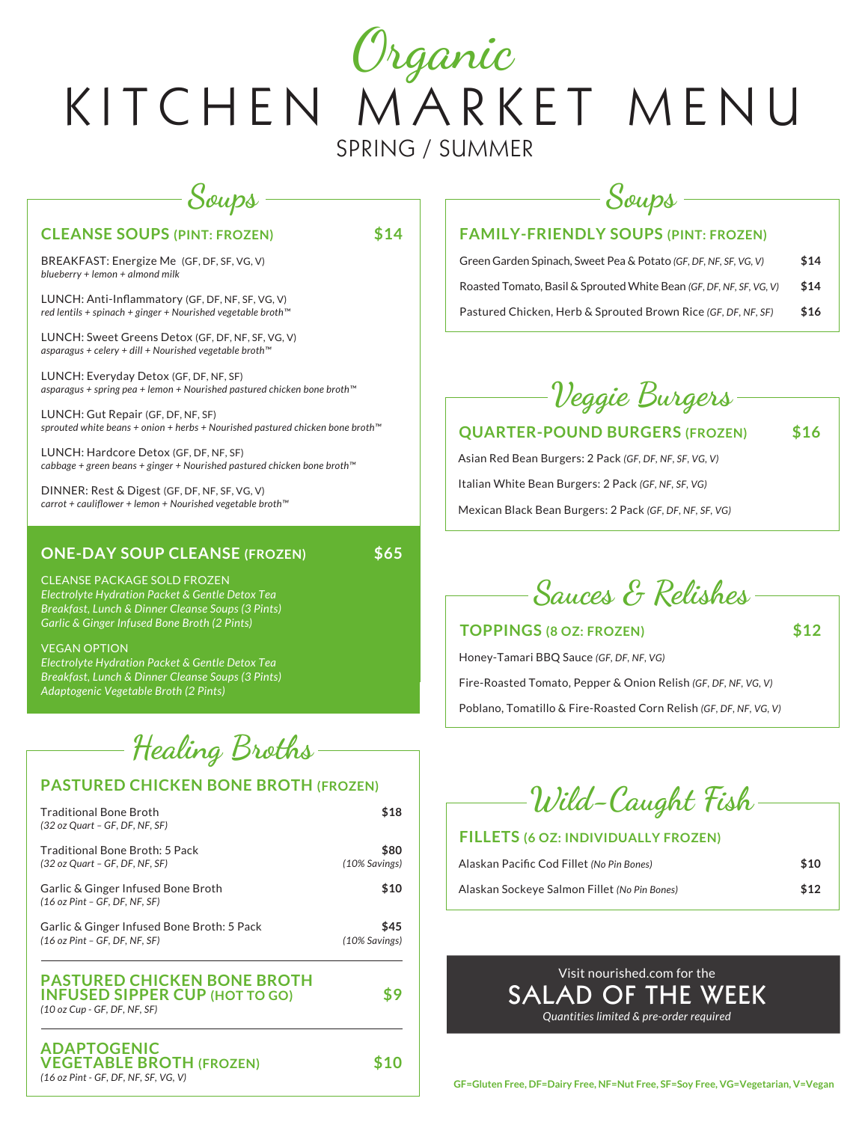# KITCHEN MARKET MENU SPRING / SUMMER Organic

# Soups

### **CLEANSE SOUPS (PINT: FROZEN) \$14**

BREAKFAST: Energize Me (GF, DF, SF, VG, V) *blueberry + lemon + almond milk*

LUNCH: Anti-Inflammatory (GF, DF, NF, SF, VG, V) *red lentils + spinach + ginger + Nourished vegetable broth™*

LUNCH: Sweet Greens Detox (GF, DF, NF, SF, VG, V) *asparagus + celery + dill + Nourished vegetable broth™*

LUNCH: Everyday Detox (GF, DF, NF, SF) *asparagus + spring pea + lemon + Nourished pastured chicken bone broth™*

LUNCH: Gut Repair (GF, DF, NF, SF) *sprouted white beans + onion + herbs + Nourished pastured chicken bone broth™*

LUNCH: Hardcore Detox (GF, DF, NF, SF) *cabbage + green beans + ginger + Nourished pastured chicken bone broth™*

DINNER: Rest & Digest (GF, DF, NF, SF, VG, V) *carrot + cauliflower + lemon + Nourished vegetable broth™*

### **ONE-DAY SOUP CLEANSE (FROZEN) \$65**

CLEANSE PACKAGE SOLD FROZEN *Electrolyte Hydration Packet & Gentle Detox Tea Breakfast, Lunch & Dinner Cleanse Soups (3 Pints) Garlic & Ginger Infused Bone Broth (2 Pints)*

#### VEGAN OPTION

*Electrolyte Hydration Packet & Gentle Detox Tea Breakfast, Lunch & Dinner Cleanse Soups (3 Pints) Adaptogenic Vegetable Broth (2 Pints)*

Healing Broths

### **PASTURED CHICKEN BONE BROTH (FROZEN)**

| <b>Traditional Bone Broth</b><br>(32 oz Quart - GF, DF, NF, SF)                                             | \$18                  |
|-------------------------------------------------------------------------------------------------------------|-----------------------|
| Traditional Bone Broth: 5 Pack<br>(32 oz Quart - GF, DF, NF, SF)                                            | \$80<br>(10% Savings) |
| Garlic & Ginger Infused Bone Broth<br>(16 oz Pint - GF, DF, NF, SF)                                         | \$10                  |
| Garlic & Ginger Infused Bone Broth: 5 Pack<br>(16 oz Pint - GF, DF, NF, SF)                                 | \$45<br>(10% Savings) |
| <b>PASTURED CHICKEN BONE BROTH</b><br><b>INFUSED SIPPER CUP (HOT TO GO)</b><br>(10 oz Cup - GF, DF, NF, SF) | ፍ 9                   |
| <b>ADAPTOGENIC</b><br><b>VEGETABLE BROTH (FROZEN)</b><br>(16 oz Pint - GF, DF, NF, SF, VG, V)               |                       |

# Soups

### **FAMILY-FRIENDLY SOUPS (PINT: FROZEN)**

| Green Garden Spinach. Sweet Pea & Potato (GF. DF. NF. SF. VG. V)    | \$14 |
|---------------------------------------------------------------------|------|
| Roasted Tomato, Basil & Sprouted White Bean (GF, DF, NF, SF, VG, V) | \$14 |
| Pastured Chicken, Herb & Sprouted Brown Rice (GF, DF, NF, SF)       | \$16 |



### **QUARTER-POUND BURGERS (FROZEN) \$16**

Asian Red Bean Burgers: 2 Pack *(GF, DF, NF, SF, VG, V)* Italian White Bean Burgers: 2 Pack *(GF, NF, SF, VG)* Mexican Black Bean Burgers: 2 Pack *(GF, DF, NF, SF, VG)*

Sauces & Relishes

### **TOPPINGS (8 OZ: FROZEN) \$12**

Honey-Tamari BBQ Sauce *(GF, DF, NF, VG)* Fire-Roasted Tomato, Pepper & Onion Relish *(GF, DF, NF, VG, V)* Poblano, Tomatillo & Fire-Roasted Corn Relish *(GF, DF, NF, VG, V)*

Wild-Caught Fish

### **FILLETS (6 OZ: INDIVIDUALLY FROZEN)**

| Alaskan Pacific Cod Fillet (No Pin Bones)    | \$10 |
|----------------------------------------------|------|
| Alaskan Sockeye Salmon Fillet (No Pin Bones) | \$12 |



**GF=Gluten Free, DF=Dairy Free, NF=Nut Free, SF=Soy Free, VG=Vegetarian, V=Vegan**